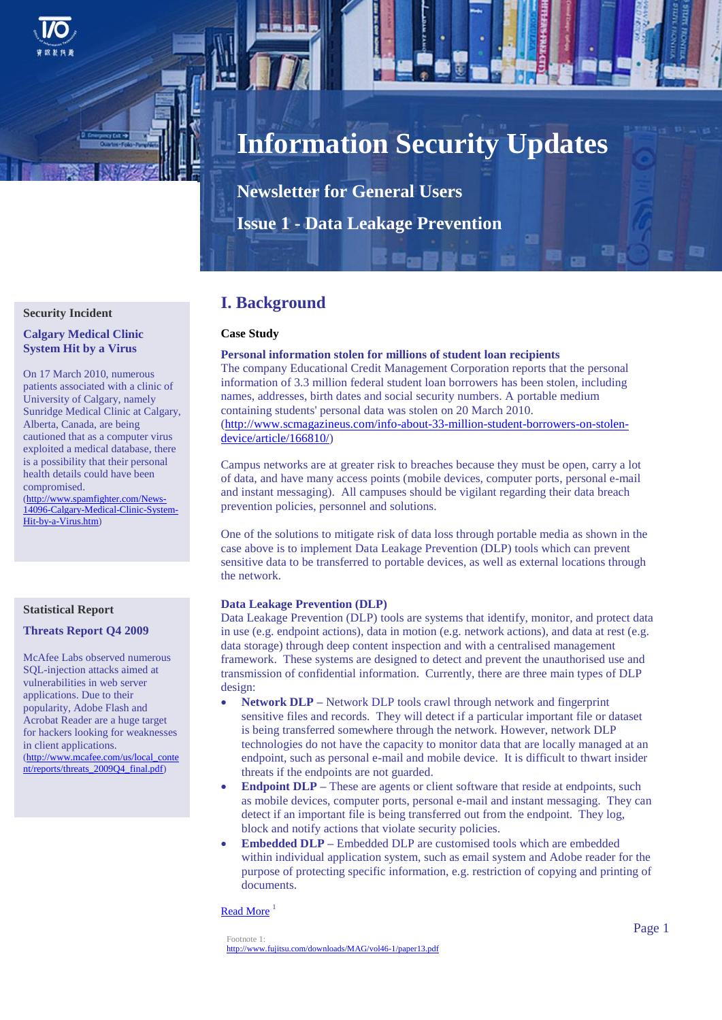

# **Information Security Updates**

**Newsletter for General Users Issue 1 - Data Leakage Prevention**

# **Security Incident**

**Calgary Medical Clinic System Hit by a Virus**

On 17 March 2010, numerous patients associated with a clinic of University of Calgary, namely Sunridge Medical Clinic at Calgary, Alberta, Canada, are being cautioned that as a computer virus exploited a medical database, there is a possibility that their personal health details could have been compromised.

[\(http://www.spamfighter.com/News-](http://www.spamfighter.com/News-14096-Calgary-Medical-Clinic-System-Hit-by-a-Virus.htm)[14096-Calgary-Medical-Clinic-System-](http://www.spamfighter.com/News-14096-Calgary-Medical-Clinic-System-Hit-by-a-Virus.htm)[Hit-by-a-Virus.htm\)](http://www.spamfighter.com/News-14096-Calgary-Medical-Clinic-System-Hit-by-a-Virus.htm)

# **Statistical Report**

#### **Threats Report Q4 2009**

McAfee Labs observed numerous SQL-injection attacks aimed at vulnerabilities in web server applications. Due to their popularity, Adobe Flash and Acrobat Reader are a huge target for hackers looking for weaknesses in client applications. (http://www.mcafee.com/us/local\_conte nt/reports/threats\_2009Q4\_final.pdf)

# **I. Background**

## **Case Study**

# **Personal information stolen for millions of student loan recipients**

The company Educational Credit Management Corporation reports that the personal information of 3.3 million federal student loan borrowers has been stolen, including names, addresses, birth dates and social security numbers. A portable medium containing students' personal data was stolen on 20 March 2010. [\(http://www.scmagazineus.com/info-about-33-million-student-borrowers-on-stolen](http://www.scmagazineus.com/info-about-33-million-student-borrowers-on-stolen-device/article/166810/)[device/article/166810/\)](http://www.scmagazineus.com/info-about-33-million-student-borrowers-on-stolen-device/article/166810/)

Campus networks are at greater risk to breaches because they must be open, carry a lot of data, and have many access points (mobile devices, computer ports, personal e-mail and instant messaging). All campuses should be vigilant regarding their data breach prevention policies, personnel and solutions.

One of the solutions to mitigate risk of data loss through portable media as shown in the case above is to implement Data Leakage Prevention (DLP) tools which can prevent sensitive data to be transferred to portable devices, as well as external locations through the network.

#### **Data Leakage Prevention (DLP)**

Data Leakage Prevention (DLP) tools are systems that identify, monitor, and protect data in use (e.g. endpoint actions), data in motion (e.g. network actions), and data at rest (e.g. data storage) through deep content inspection and with a centralised management framework. These systems are designed to detect and prevent the unauthorised use and transmission of confidential information. Currently, there are three main types of DLP design:

- **Network DLP –** Network DLP tools crawl through network and fingerprint sensitive files and records. They will detect if a particular important file or dataset is being transferred somewhere through the network. However, network DLP technologies do not have the capacity to monitor data that are locally managed at an endpoint, such as personal e-mail and mobile device. It is difficult to thwart insider threats if the endpoints are not guarded.
- **Endpoint DLP –** These are agents or client software that reside at endpoints, such as mobile devices, computer ports, personal e-mail and instant messaging. They can detect if an important file is being transferred out from the endpoint. They log, block and notify actions that violate security policies.
- **Embedded DLP –** Embedded DLP are customised tools which are embedded within individual application system, such as email system and Adobe reader for the purpose of protecting specific information, e.g. restriction of copying and printing of documents.

[Read More](http://www.zdnet.co.uk/white-papers/intrusion-tampering/2010/02/23/6-best-practices-for-preventing-enterprise-data-loss-261074247/) $<sup>1</sup>$ </sup>

Footnote 1: <http://www.fujitsu.com/downloads/MAG/vol46-1/paper13.pdf>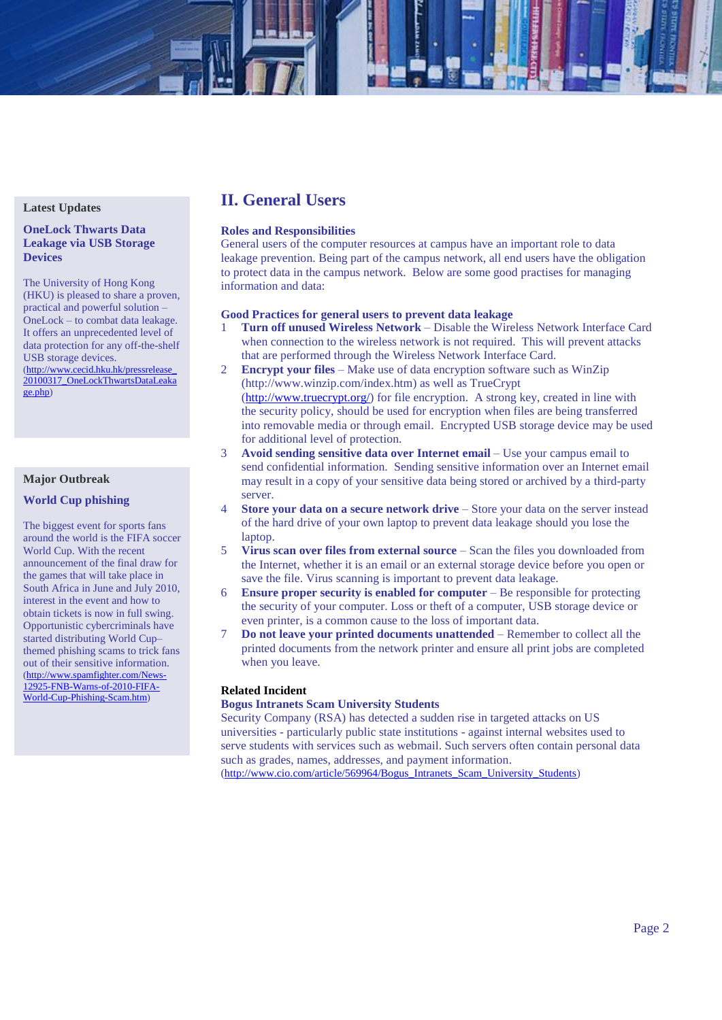## **Latest Updates**

## **OneLock Thwarts Data Leakage via USB Storage Devices**

The University of Hong Kong (HKU) is pleased to share a proven, practical and powerful solution – OneLock – to combat data leakage. It offers an unprecedented level of data protection for any off-the-shelf USB storage devices. (http://www.cecid.hku.hk/pressrelease\_

20100317\_OneLockThwartsDataLeaka ge.php)

# **Major Outbreak**

# **World Cup phishing**

The biggest event for sports fans around the world is the FIFA soccer World Cup. With the recent announcement of the final draw for the games that will take place in South Africa in June and July 2010, interest in the event and how to obtain tickets is now in full swing. Opportunistic cybercriminals have started distributing World Cup– themed phishing scams to trick fans out of their sensitive information. (http://www.spamfighter.com/News-12925-FNB-Warns-of-2010-FIFA-World-Cup-Phishing-Scam.htm)

# **II. General Users**

# **Roles and Responsibilities**

General users of the computer resources at campus have an important role to data leakage prevention. Being part of the campus network, all end users have the obligation to protect data in the campus network. Below are some good practises for managing information and data:

# **Good Practices for general users to prevent data leakage**

- 1 **Turn off unused Wireless Network** Disable the Wireless Network Interface Card when connection to the wireless network is not required. This will prevent attacks that are performed through the Wireless Network Interface Card.
- 2 **Encrypt your files** Make use of data encryption software such as WinZip (http://www.winzip.com/index.htm) as well as TrueCrypt [\(http://www.truecrypt.org/\)](http://www.truecrypt.org/) for file encryption. A strong key, created in line with the security policy, should be used for encryption when files are being transferred into removable media or through email. Encrypted USB storage device may be used for additional level of protection.
- 3 **Avoid sending sensitive data over Internet email** Use your campus email to send confidential information. Sending sensitive information over an Internet email may result in a copy of your sensitive data being stored or archived by a third-party server.
- 4 **Store your data on a secure network drive** Store your data on the server instead of the hard drive of your own laptop to prevent data leakage should you lose the laptop.
- 5 **Virus scan over files from external source** Scan the files you downloaded from the Internet, whether it is an email or an external storage device before you open or save the file. Virus scanning is important to prevent data leakage.
- 6 **Ensure proper security is enabled for computer** Be responsible for protecting the security of your computer. Loss or theft of a computer, USB storage device or even printer, is a common cause to the loss of important data.
- 7 **Do not leave your printed documents unattended** Remember to collect all the printed documents from the network printer and ensure all print jobs are completed when you leave.

# **Related Incident**

#### **Bogus Intranets Scam University Students**

Security Company (RSA) has detected a sudden rise in targeted attacks on US universities - particularly public state institutions - against internal websites used to serve students with services such as webmail. Such servers often contain personal data such as grades, names, addresses, and payment information. [\(http://www.cio.com/article/569964/Bogus\\_Intranets\\_Scam\\_University\\_Students\)](http://www.cio.com/article/569964/Bogus_Intranets_Scam_University_Students)